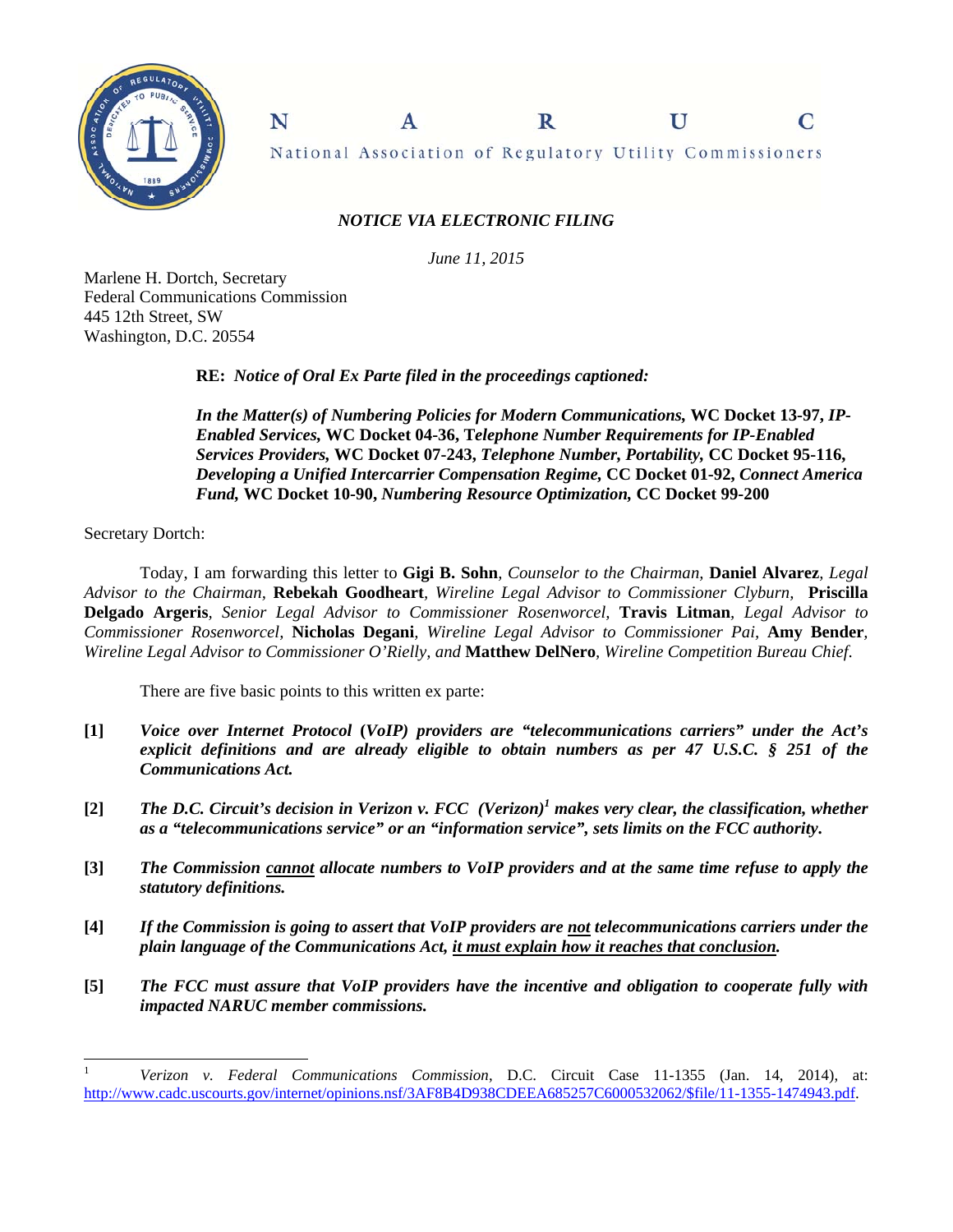

 $\mathbf R$ N A U C National Association of Regulatory Utility Commissioners

# *NOTICE VIA ELECTRONIC FILING*

*June 11, 2015* 

Marlene H. Dortch, Secretary Federal Communications Commission 445 12th Street, SW Washington, D.C. 20554

**RE:** *Notice of Oral Ex Parte filed in the proceedings captioned:* 

*In the Matter(s) of Numbering Policies for Modern Communications,* **WC Docket 13-97,** *IP-Enabled Services,* **WC Docket 04-36, T***elephone Number Requirements for IP-Enabled Services Providers,* **WC Docket 07-243,** *Telephone Number, Portability,* **CC Docket 95-116,**  *Developing a Unified Intercarrier Compensation Regime,* **CC Docket 01-92,** *Connect America Fund,* **WC Docket 10-90,** *Numbering Resource Optimization,* **CC Docket 99-200**

Secretary Dortch:

l

 Today, I am forwarding this letter to **Gigi B. Sohn***, Counselor to the Chairman,* **Daniel Alvarez***, Legal Advisor to the Chairman,* **Rebekah Goodheart***, Wireline Legal Advisor to Commissioner Clyburn,* **Priscilla Delgado Argeris***, Senior Legal Advisor to Commissioner Rosenworcel,* **Travis Litman***, Legal Advisor to Commissioner Rosenworcel,* **Nicholas Degani***, Wireline Legal Advisor to Commissioner Pai,* **Amy Bender***, Wireline Legal Advisor to Commissioner O'Rielly, and* **Matthew DelNero***, Wireline Competition Bureau Chief*.

There are five basic points to this written ex parte:

- **[1]** *Voice over Internet Protocol* **(***VoIP) providers are "telecommunications carriers" under the Act's explicit definitions and are already eligible to obtain numbers as per 47 U.S.C. § 251 of the Communications Act.*
- [2] The D.C. Circuit's decision in Verizon v. FCC (Verizon)<sup>1</sup> makes very clear, the classification, whether *as a "telecommunications service" or an "information service", sets limits on the FCC authority***.**
- **[3]** *The Commission cannot allocate numbers to VoIP providers and at the same time refuse to apply the statutory definitions.*
- **[4]** *If the Commission is going to assert that VoIP providers are not telecommunications carriers under the plain language of the Communications Act, it must explain how it reaches that conclusion.*
- **[5]** *The FCC must assure that VoIP providers have the incentive and obligation to cooperate fully with impacted NARUC member commissions.*

<sup>1</sup> *Verizon v. Federal Communications Commission*, D.C. Circuit Case 11-1355 (Jan. 14, 2014), at: http://www.cadc.uscourts.gov/internet/opinions.nsf/3AF8B4D938CDEEA685257C6000532062/\$file/11-1355-1474943.pdf.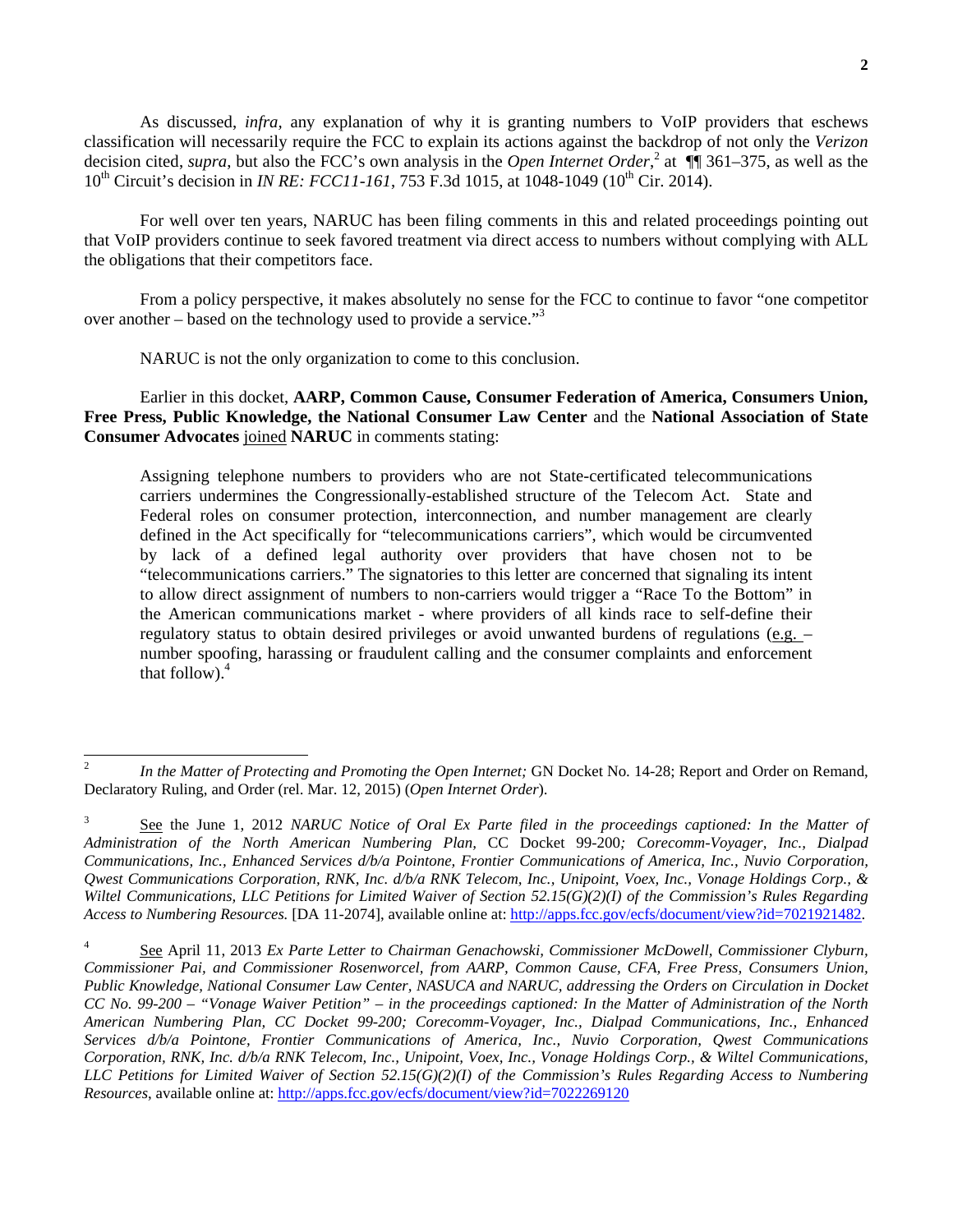As discussed, *infra,* any explanation of why it is granting numbers to VoIP providers that eschews classification will necessarily require the FCC to explain its actions against the backdrop of not only the *Verizon* decision cited, *supra*, but also the FCC's own analysis in the *Open Internet Order*,<sup>2</sup> at  $\P$  $\P$ 361–375, as well as the 10<sup>th</sup> Circuit's decision in *IN RE: FCC11-161*, 753 F.3d 1015, at 1048-1049 (10<sup>th</sup> Cir. 2014).

 For well over ten years, NARUC has been filing comments in this and related proceedings pointing out that VoIP providers continue to seek favored treatment via direct access to numbers without complying with ALL the obligations that their competitors face.

 From a policy perspective, it makes absolutely no sense for the FCC to continue to favor "one competitor over another – based on the technology used to provide a service."<sup>3</sup>

NARUC is not the only organization to come to this conclusion.

 $\overline{a}$ 

 Earlier in this docket, **AARP, Common Cause, Consumer Federation of America, Consumers Union, Free Press, Public Knowledge, the National Consumer Law Center** and the **National Association of State Consumer Advocates** joined **NARUC** in comments stating:

Assigning telephone numbers to providers who are not State-certificated telecommunications carriers undermines the Congressionally-established structure of the Telecom Act. State and Federal roles on consumer protection, interconnection, and number management are clearly defined in the Act specifically for "telecommunications carriers", which would be circumvented by lack of a defined legal authority over providers that have chosen not to be "telecommunications carriers." The signatories to this letter are concerned that signaling its intent to allow direct assignment of numbers to non-carriers would trigger a "Race To the Bottom" in the American communications market - where providers of all kinds race to self-define their regulatory status to obtain desired privileges or avoid unwanted burdens of regulations  $(e.g.$ number spoofing, harassing or fraudulent calling and the consumer complaints and enforcement that follow). $4$ 

<sup>2</sup> *In the Matter of Protecting and Promoting the Open Internet;* GN Docket No. 14-28; Report and Order on Remand, Declaratory Ruling, and Order (rel. Mar. 12, 2015) (*Open Internet Order*).

<sup>3</sup> See the June 1, 2012 *NARUC Notice of Oral Ex Parte filed in the proceedings captioned: In the Matter of Administration of the North American Numbering Plan,* CC Docket 99-200*; Corecomm-Voyager, Inc., Dialpad Communications, Inc., Enhanced Services d/b/a Pointone, Frontier Communications of America, Inc., Nuvio Corporation, Qwest Communications Corporation, RNK, Inc. d/b/a RNK Telecom, Inc., Unipoint, Voex, Inc., Vonage Holdings Corp., & Wiltel Communications, LLC Petitions for Limited Waiver of Section 52.15(G)(2)(I) of the Commission's Rules Regarding Access to Numbering Resources.* [DA 11-2074], available online at: http://apps.fcc.gov/ecfs/document/view?id=7021921482.

<sup>4</sup> See April 11, 2013 *Ex Parte Letter to Chairman Genachowski, Commissioner McDowell, Commissioner Clyburn, Commissioner Pai, and Commissioner Rosenworcel, from AARP, Common Cause, CFA, Free Press, Consumers Union, Public Knowledge, National Consumer Law Center, NASUCA and NARUC, addressing the Orders on Circulation in Docket CC No. 99-200 – "Vonage Waiver Petition" – in the proceedings captioned: In the Matter of Administration of the North American Numbering Plan, CC Docket 99-200; Corecomm-Voyager, Inc., Dialpad Communications, Inc., Enhanced Services d/b/a Pointone, Frontier Communications of America, Inc., Nuvio Corporation, Qwest Communications Corporation, RNK, Inc. d/b/a RNK Telecom, Inc., Unipoint, Voex, Inc., Vonage Holdings Corp., & Wiltel Communications, LLC Petitions for Limited Waiver of Section 52.15(G)(2)(I) of the Commission's Rules Regarding Access to Numbering Resources*, available online at: http://apps.fcc.gov/ecfs/document/view?id=7022269120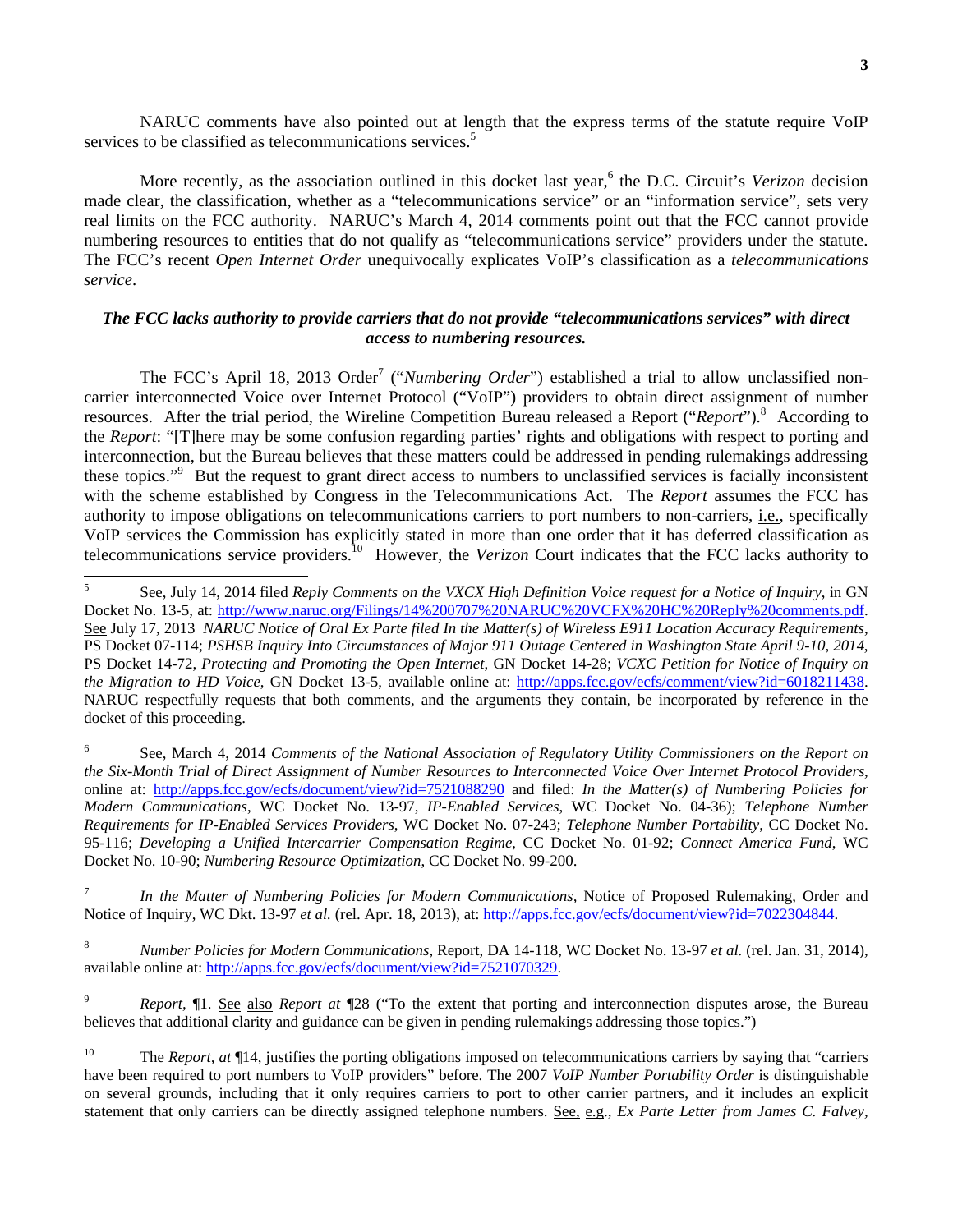NARUC comments have also pointed out at length that the express terms of the statute require VoIP services to be classified as telecommunications services.<sup>5</sup>

More recently, as the association outlined in this docket last year,<sup>6</sup> the D.C. Circuit's *Verizon* decision made clear, the classification, whether as a "telecommunications service" or an "information service", sets very real limits on the FCC authority. NARUC's March 4, 2014 comments point out that the FCC cannot provide numbering resources to entities that do not qualify as "telecommunications service" providers under the statute. The FCC's recent *Open Internet Order* unequivocally explicates VoIP's classification as a *telecommunications service*.

# *The FCC lacks authority to provide carriers that do not provide "telecommunications services" with direct access to numbering resources.*

The FCC's April 18, 2013 Order<sup>7</sup> ("*Numbering Order*") established a trial to allow unclassified noncarrier interconnected Voice over Internet Protocol ("VoIP") providers to obtain direct assignment of number resources. After the trial period, the Wireline Competition Bureau released a Report ("*Report*").<sup>8</sup> According to the *Report*: "[T]here may be some confusion regarding parties' rights and obligations with respect to porting and interconnection, but the Bureau believes that these matters could be addressed in pending rulemakings addressing these topics."<sup>9</sup> But the request to grant direct access to numbers to unclassified services is facially inconsistent with the scheme established by Congress in the Telecommunications Act. The *Report* assumes the FCC has authority to impose obligations on telecommunications carriers to port numbers to non-carriers, i.e., specifically VoIP services the Commission has explicitly stated in more than one order that it has deferred classification as telecommunications service providers.10 However, the *Verizon* Court indicates that the FCC lacks authority to

7 *In the Matter of Numbering Policies for Modern Communications,* Notice of Proposed Rulemaking, Order and Notice of Inquiry, WC Dkt. 13-97 *et al.* (rel. Apr. 18, 2013), at: http://apps.fcc.gov/ecfs/document/view?id=7022304844.

8 *Number Policies for Modern Communications*, Report, DA 14-118, WC Docket No. 13-97 *et al.* (rel. Jan. 31, 2014), available online at: http://apps.fcc.gov/ecfs/document/view?id=7521070329.

9 *Report,* ¶1. See also *Report at* ¶28 ("To the extent that porting and interconnection disputes arose, the Bureau believes that additional clarity and guidance can be given in pending rulemakings addressing those topics.")

 5 See, July 14, 2014 filed *Reply Comments on the VXCX High Definition Voice request for a Notice of Inquiry*, in GN Docket No. 13-5, at: http://www.naruc.org/Filings/14%200707%20NARUC%20VCFX%20HC%20Reply%20comments.pdf. See July 17, 2013 *NARUC Notice of Oral Ex Parte filed In the Matter(s) of Wireless E911 Location Accuracy Requirements*, PS Docket 07-114; *PSHSB Inquiry Into Circumstances of Major 911 Outage Centered in Washington State April 9-10, 2014*, PS Docket 14-72, *Protecting and Promoting the Open Internet*, GN Docket 14-28; *VCXC Petition for Notice of Inquiry on the Migration to HD Voice*, GN Docket 13-5, available online at: http://apps.fcc.gov/ecfs/comment/view?id=6018211438. NARUC respectfully requests that both comments, and the arguments they contain, be incorporated by reference in the docket of this proceeding.

<sup>6</sup> See, March 4, 2014 *Comments of the National Association of Regulatory Utility Commissioners on the Report on the Six-Month Trial of Direct Assignment of Number Resources to Interconnected Voice Over Internet Protocol Providers*, online at: http://apps.fcc.gov/ecfs/document/view?id=7521088290 and filed: *In the Matter(s) of Numbering Policies for Modern Communications*, WC Docket No. 13-97, *IP-Enabled Services*, WC Docket No. 04-36); *Telephone Number Requirements for IP-Enabled Services Providers*, WC Docket No. 07-243; *Telephone Number Portability*, CC Docket No. 95-116; *Developing a Unified Intercarrier Compensation Regime*, CC Docket No. 01-92; *Connect America Fund*, WC Docket No. 10-90; *Numbering Resource Optimization*, CC Docket No. 99-200.

<sup>&</sup>lt;sup>10</sup> The *Report, at*  $\Pi$ 14, justifies the porting obligations imposed on telecommunications carriers by saying that "carriers" have been required to port numbers to VoIP providers" before. The 2007 *VoIP Number Portability Order* is distinguishable on several grounds, including that it only requires carriers to port to other carrier partners, and it includes an explicit statement that only carriers can be directly assigned telephone numbers. See, e.g., *Ex Parte Letter from James C. Falvey,*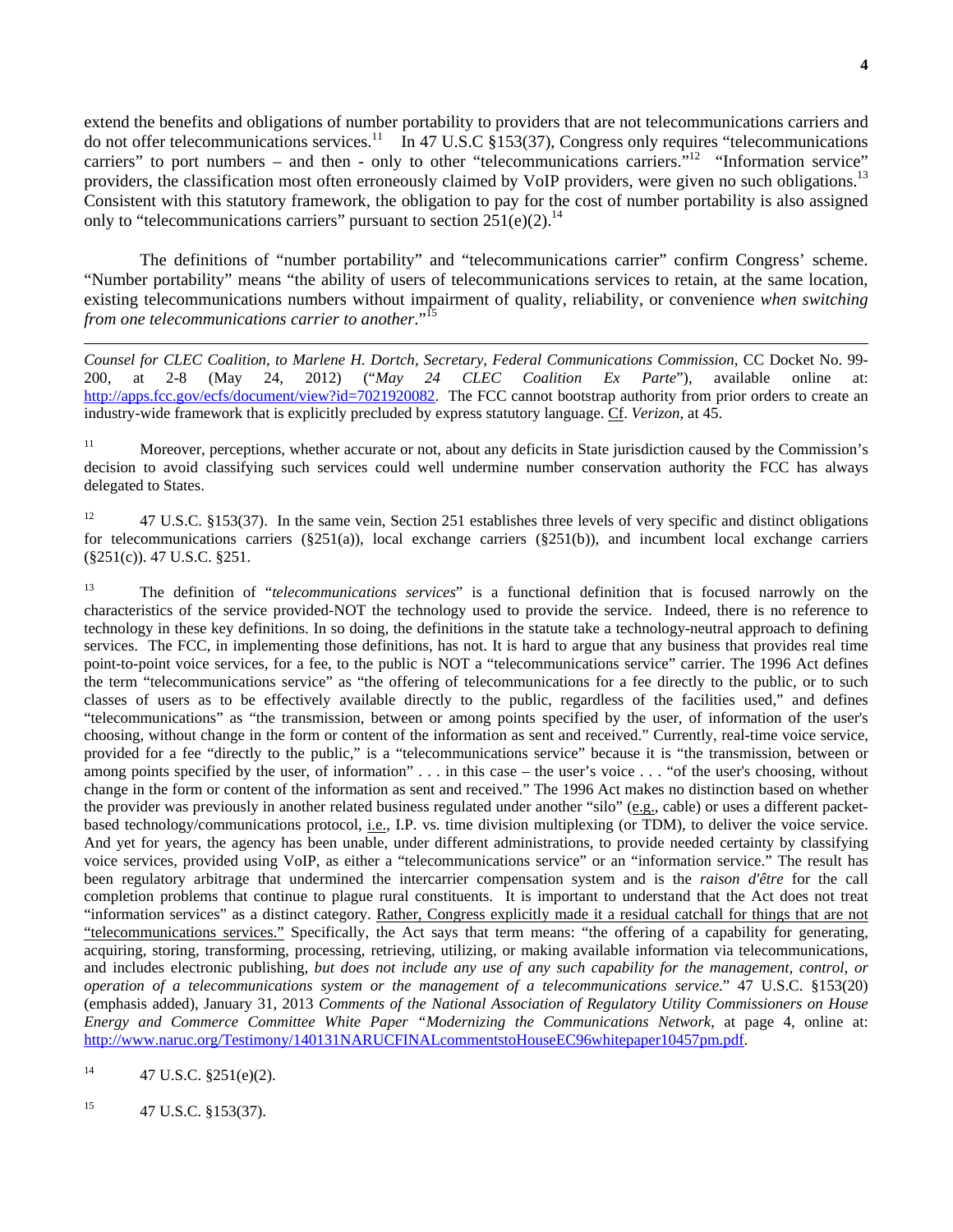extend the benefits and obligations of number portability to providers that are not telecommunications carriers and do not offer telecommunications services.11 In 47 U.S.C §153(37), Congress only requires "telecommunications carriers" to port numbers – and then - only to other "telecommunications carriers."<sup>12</sup> "Information service" providers, the classification most often erroneously claimed by VoIP providers, were given no such obligations.<sup>13</sup> Consistent with this statutory framework, the obligation to pay for the cost of number portability is also assigned only to "telecommunications carriers" pursuant to section  $251(e)(2)$ <sup>14</sup>

The definitions of "number portability" and "telecommunications carrier" confirm Congress' scheme. "Number portability" means "the ability of users of telecommunications services to retain, at the same location, existing telecommunications numbers without impairment of quality, reliability, or convenience *when switching from one telecommunications carrier to another*."15

*Counsel for CLEC Coalition, to Marlene H. Dortch, Secretary, Federal Communications Commission*, CC Docket No. 99- 200, at 2-8 (May 24, 2012) ("*May 24 CLEC Coalition Ex Parte*"), available online at: http://apps.fcc.gov/ecfs/document/view?id=7021920082. The FCC cannot bootstrap authority from prior orders to create an industry-wide framework that is explicitly precluded by express statutory language. Cf. *Verizon*, at 45.

<sup>11</sup> Moreover, perceptions, whether accurate or not, about any deficits in State jurisdiction caused by the Commission's decision to avoid classifying such services could well undermine number conservation authority the FCC has always delegated to States.

<sup>12</sup> 47 U.S.C. §153(37). In the same vein, Section 251 establishes three levels of very specific and distinct obligations for telecommunications carriers  $(\S 251(a))$ , local exchange carriers  $(\S 251(b))$ , and incumbent local exchange carriers (§251(c)). 47 U.S.C. §251.

13 The definition of "*telecommunications services*" is a functional definition that is focused narrowly on the characteristics of the service provided-NOT the technology used to provide the service. Indeed, there is no reference to technology in these key definitions. In so doing, the definitions in the statute take a technology-neutral approach to defining services. The FCC, in implementing those definitions, has not. It is hard to argue that any business that provides real time point-to-point voice services, for a fee, to the public is NOT a "telecommunications service" carrier. The 1996 Act defines the term "telecommunications service" as "the offering of telecommunications for a fee directly to the public, or to such classes of users as to be effectively available directly to the public, regardless of the facilities used," and defines "telecommunications" as "the transmission, between or among points specified by the user, of information of the user's choosing, without change in the form or content of the information as sent and received." Currently, real-time voice service, provided for a fee "directly to the public," is a "telecommunications service" because it is "the transmission, between or among points specified by the user, of information" . . . in this case – the user's voice . . . "of the user's choosing, without change in the form or content of the information as sent and received." The 1996 Act makes no distinction based on whether the provider was previously in another related business regulated under another "silo" (e.g., cable) or uses a different packetbased technology/communications protocol, i.e., I.P. vs. time division multiplexing (or TDM), to deliver the voice service. And yet for years, the agency has been unable, under different administrations, to provide needed certainty by classifying voice services, provided using VoIP, as either a "telecommunications service" or an "information service." The result has been regulatory arbitrage that undermined the intercarrier compensation system and is the *raison d'être* for the call completion problems that continue to plague rural constituents. It is important to understand that the Act does not treat "information services" as a distinct category. Rather, Congress explicitly made it a residual catchall for things that are not "telecommunications services." Specifically, the Act says that term means: "the offering of a capability for generating, acquiring, storing, transforming, processing, retrieving, utilizing, or making available information via telecommunications, and includes electronic publishing, *but does not include any use of any such capability for the management, control, or operation of a telecommunications system or the management of a telecommunications service*." 47 U.S.C. §153(20) (emphasis added), January 31, 2013 *Comments of the National Association of Regulatory Utility Commissioners on House Energy and Commerce Committee White Paper "Modernizing the Communications Network*, at page 4, online at: http://www.naruc.org/Testimony/140131NARUCFINALcommentstoHouseEC96whitepaper10457pm.pdf.

 $^{14}$  47 U.S.C. §251(e)(2).

 $\overline{a}$ 

 $^{15}$  47 U.S.C. §153(37).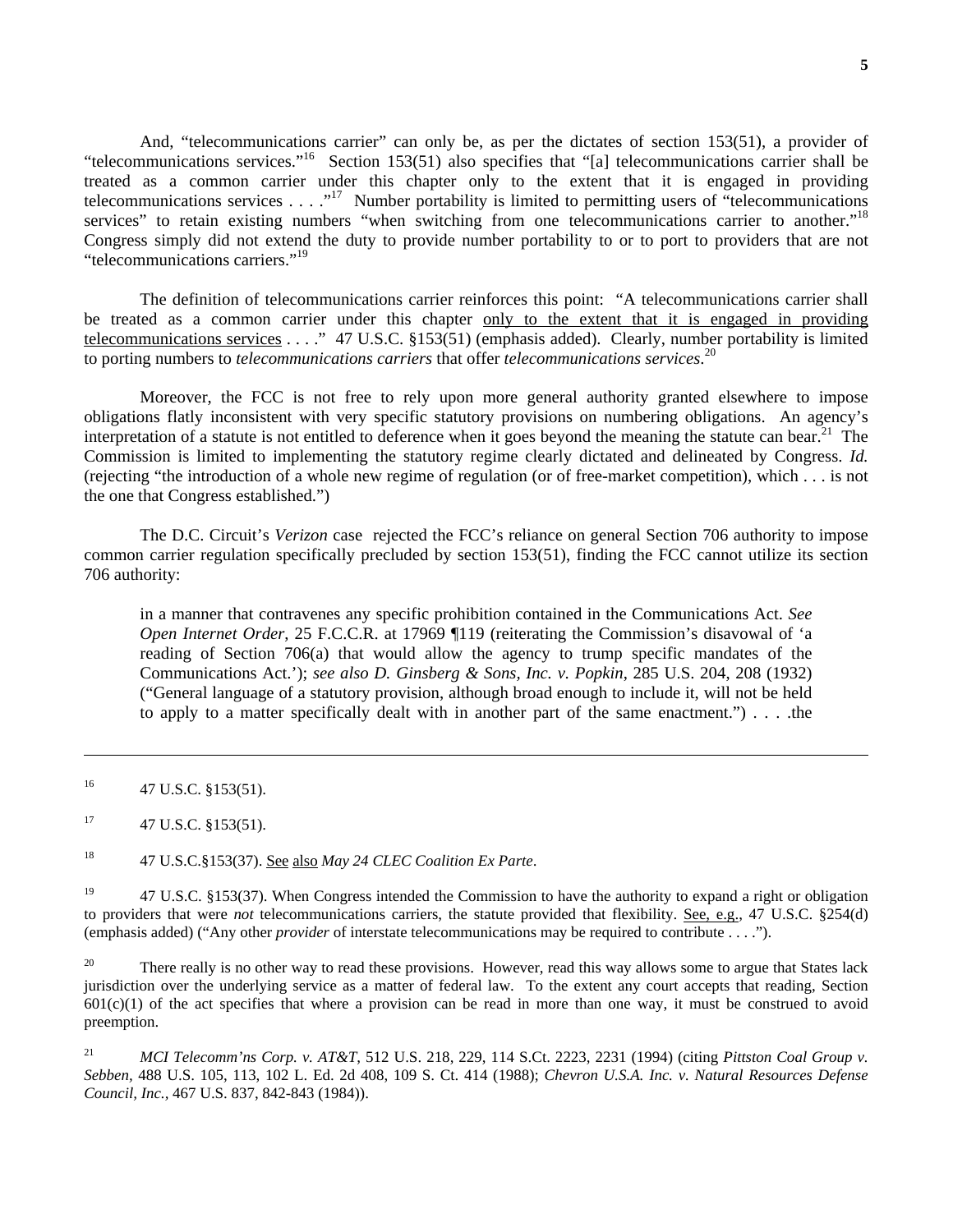And, "telecommunications carrier" can only be, as per the dictates of section 153(51), a provider of "telecommunications services."16 Section 153(51) also specifies that "[a] telecommunications carrier shall be treated as a common carrier under this chapter only to the extent that it is engaged in providing telecommunications services . . . ."<sup>17</sup> Number portability is limited to permitting users of "telecommunications" services" to retain existing numbers "when switching from one telecommunications carrier to another."<sup>18</sup> Congress simply did not extend the duty to provide number portability to or to port to providers that are not "telecommunications carriers."19

 The definition of telecommunications carrier reinforces this point: "A telecommunications carrier shall be treated as a common carrier under this chapter only to the extent that it is engaged in providing telecommunications services . . . ." 47 U.S.C. §153(51) (emphasis added). Clearly, number portability is limited to porting numbers to *telecommunications carriers* that offer *telecommunications services*. 20

 Moreover, the FCC is not free to rely upon more general authority granted elsewhere to impose obligations flatly inconsistent with very specific statutory provisions on numbering obligations. An agency's interpretation of a statute is not entitled to deference when it goes beyond the meaning the statute can bear.<sup>21</sup> The Commission is limited to implementing the statutory regime clearly dictated and delineated by Congress. *Id.* (rejecting "the introduction of a whole new regime of regulation (or of free-market competition), which . . . is not the one that Congress established.")

 The D.C. Circuit's *Verizon* case rejected the FCC's reliance on general Section 706 authority to impose common carrier regulation specifically precluded by section 153(51), finding the FCC cannot utilize its section 706 authority:

in a manner that contravenes any specific prohibition contained in the Communications Act. *See Open Internet Order*, 25 F.C.C.R. at 17969 ¶119 (reiterating the Commission's disavowal of 'a reading of Section 706(a) that would allow the agency to trump specific mandates of the Communications Act.'); *see also D. Ginsberg & Sons, Inc. v. Popkin*, 285 U.S. 204, 208 (1932) ("General language of a statutory provision, although broad enough to include it, will not be held to apply to a matter specifically dealt with in another part of the same enactment." $) \ldots$ . the

 $\overline{a}$ 

18 47 U.S.C.§153(37). See also *May 24 CLEC Coalition Ex Parte*.

<sup>19</sup> 47 U.S.C. §153(37). When Congress intended the Commission to have the authority to expand a right or obligation to providers that were *not* telecommunications carriers, the statute provided that flexibility. See, e.g., 47 U.S.C. §254(d) (emphasis added) ("Any other *provider* of interstate telecommunications may be required to contribute . . . .").

<sup>20</sup> There really is no other way to read these provisions. However, read this way allows some to argue that States lack jurisdiction over the underlying service as a matter of federal law. To the extent any court accepts that reading, Section  $601(c)(1)$  of the act specifies that where a provision can be read in more than one way, it must be construed to avoid preemption.

21 *MCI Telecomm'ns Corp. v. AT&T*, 512 U.S. 218, 229, 114 S.Ct. 2223, 2231 (1994) (citing *Pittston Coal Group v. Sebben,* 488 U.S. 105, 113, 102 L. Ed. 2d 408, 109 S. Ct. 414 (1988); *Chevron U.S.A. Inc. v. Natural Resources Defense Council, Inc.,* 467 U.S. 837, 842-843 (1984)).

 $^{16}$  47 U.S.C. §153(51).

 $17 \t47 \tU.S.C. \t§ 153(51).$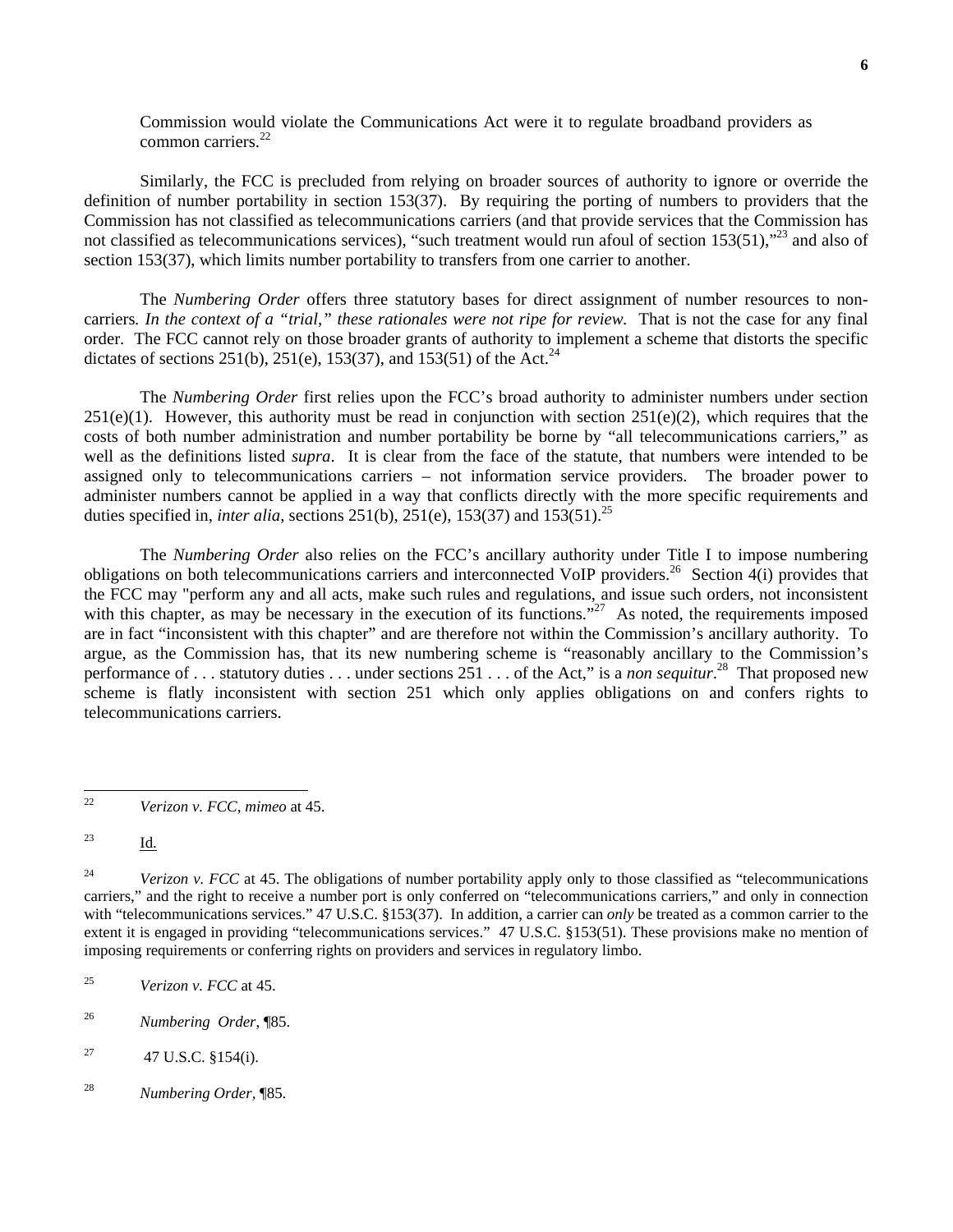Commission would violate the Communications Act were it to regulate broadband providers as common carriers $^{22}$ 

Similarly, the FCC is precluded from relying on broader sources of authority to ignore or override the definition of number portability in section 153(37). By requiring the porting of numbers to providers that the Commission has not classified as telecommunications carriers (and that provide services that the Commission has not classified as telecommunications services), "such treatment would run afoul of section 153(51),"<sup>23</sup> and also of section 153(37), which limits number portability to transfers from one carrier to another.

The *Numbering Order* offers three statutory bases for direct assignment of number resources to noncarriers*. In the context of a "trial," these rationales were not ripe for review.* That is not the case for any final order. The FCC cannot rely on those broader grants of authority to implement a scheme that distorts the specific dictates of sections 251(b), 251(e), 153(37), and 153(51) of the Act.<sup>24</sup>

 The *Numbering Order* first relies upon the FCC's broad authority to administer numbers under section  $251(e)(1)$ . However, this authority must be read in conjunction with section  $251(e)(2)$ , which requires that the costs of both number administration and number portability be borne by "all telecommunications carriers," as well as the definitions listed *supra*. It is clear from the face of the statute, that numbers were intended to be assigned only to telecommunications carriers – not information service providers. The broader power to administer numbers cannot be applied in a way that conflicts directly with the more specific requirements and duties specified in, *inter alia*, sections 251(b), 251(e), 153(37) and 153(51).<sup>25</sup>

 The *Numbering Order* also relies on the FCC's ancillary authority under Title I to impose numbering obligations on both telecommunications carriers and interconnected VoIP providers.<sup>26</sup> Section  $4(i)$  provides that the FCC may "perform any and all acts, make such rules and regulations, and issue such orders, not inconsistent with this chapter, as may be necessary in the execution of its functions."<sup>27</sup> As noted, the requirements imposed are in fact "inconsistent with this chapter" and are therefore not within the Commission's ancillary authority. To argue, as the Commission has, that its new numbering scheme is "reasonably ancillary to the Commission's performance of . . . statutory duties . . . under sections 251 . . . of the Act," is a *non sequitur*. 28 That proposed new scheme is flatly inconsistent with section 251 which only applies obligations on and confers rights to telecommunications carriers.

- <sup>27</sup> 47 U.S.C. §154(i).
- 28 *Numbering Order,* ¶85.

 $22\,$ 22 *Verizon v. FCC, mimeo* at 45.

 $\frac{13}{\underline{10}}$ .

<sup>&</sup>lt;sup>24</sup> *Verizon v. FCC* at 45. The obligations of number portability apply only to those classified as "telecommunications" carriers," and the right to receive a number port is only conferred on "telecommunications carriers," and only in connection with "telecommunications services." 47 U.S.C. §153(37). In addition, a carrier can *only* be treated as a common carrier to the extent it is engaged in providing "telecommunications services." 47 U.S.C. §153(51). These provisions make no mention of imposing requirements or conferring rights on providers and services in regulatory limbo.

<sup>25</sup> *Verizon v. FCC* at 45.

<sup>26</sup> *Numbering Order*, ¶85.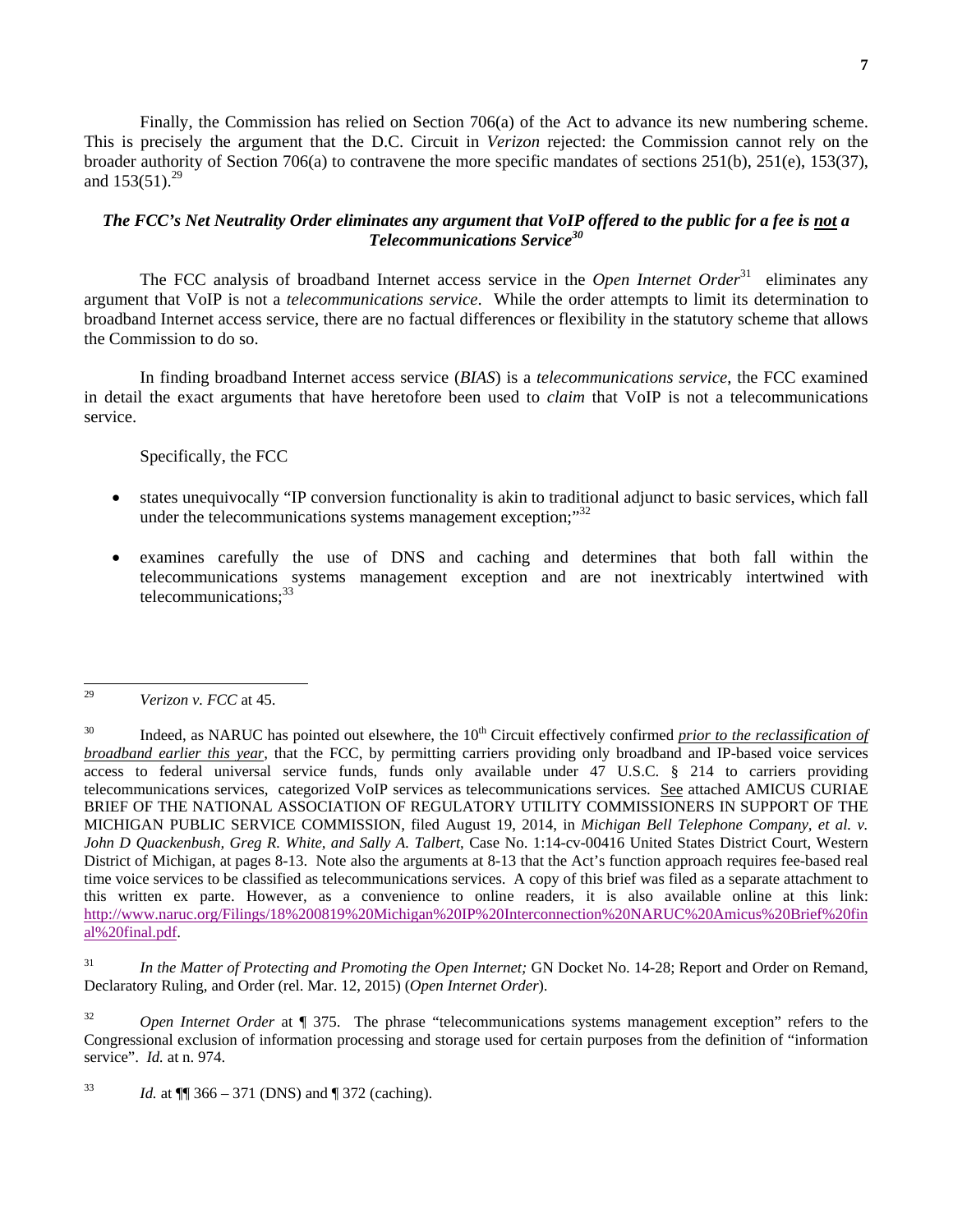Finally, the Commission has relied on Section 706(a) of the Act to advance its new numbering scheme. This is precisely the argument that the D.C. Circuit in *Verizon* rejected: the Commission cannot rely on the broader authority of Section 706(a) to contravene the more specific mandates of sections 251(b), 251(e), 153(37), and  $153(51).^{29}$ 

#### *The FCC's Net Neutrality Order eliminates any argument that VoIP offered to the public for a fee is not a Telecommunications Service30*

The FCC analysis of broadband Internet access service in the *Open Internet Order*<sup>31</sup> eliminates any argument that VoIP is not a *telecommunications service*. While the order attempts to limit its determination to broadband Internet access service, there are no factual differences or flexibility in the statutory scheme that allows the Commission to do so.

 In finding broadband Internet access service (*BIAS*) is a *telecommunications service*, the FCC examined in detail the exact arguments that have heretofore been used to *claim* that VoIP is not a telecommunications service.

#### Specifically, the FCC

- states unequivocally "IP conversion functionality is akin to traditional adjunct to basic services, which fall under the telecommunications systems management exception;"<sup>32</sup>
- examines carefully the use of DNS and caching and determines that both fall within the telecommunications systems management exception and are not inextricably intertwined with telecommunications;<sup>33</sup>

31 *In the Matter of Protecting and Promoting the Open Internet;* GN Docket No. 14-28; Report and Order on Remand, Declaratory Ruling, and Order (rel. Mar. 12, 2015) (*Open Internet Order*).

<sup>32</sup> *Open Internet Order* at ¶ 375. The phrase "telecommunications systems management exception" refers to the Congressional exclusion of information processing and storage used for certain purposes from the definition of "information service". *Id.* at n. 974.

<sup>33</sup> *Id.* at  $\P$  366 – 371 (DNS) and  $\P$  372 (caching).

<sup>29</sup> 29 *Verizon v. FCC* at 45.

<sup>&</sup>lt;sup>30</sup> Indeed, as NARUC has pointed out elsewhere, the 10<sup>th</sup> Circuit effectively confirmed *prior to the reclassification of broadband earlier this year*, that the FCC, by permitting carriers providing only broadband and IP-based voice services access to federal universal service funds, funds only available under 47 U.S.C. § 214 to carriers providing telecommunications services, categorized VoIP services as telecommunications services. See attached AMICUS CURIAE BRIEF OF THE NATIONAL ASSOCIATION OF REGULATORY UTILITY COMMISSIONERS IN SUPPORT OF THE MICHIGAN PUBLIC SERVICE COMMISSION, filed August 19, 2014, in *Michigan Bell Telephone Company, et al. v. John D Quackenbush, Greg R. White, and Sally A. Talbert*, Case No. 1:14-cv-00416 United States District Court, Western District of Michigan, at pages 8-13. Note also the arguments at 8-13 that the Act's function approach requires fee-based real time voice services to be classified as telecommunications services. A copy of this brief was filed as a separate attachment to this written ex parte. However, as a convenience to online readers, it is also available online at this link: http://www.naruc.org/Filings/18%200819%20Michigan%20IP%20Interconnection%20NARUC%20Amicus%20Brief%20fin al%20final.pdf.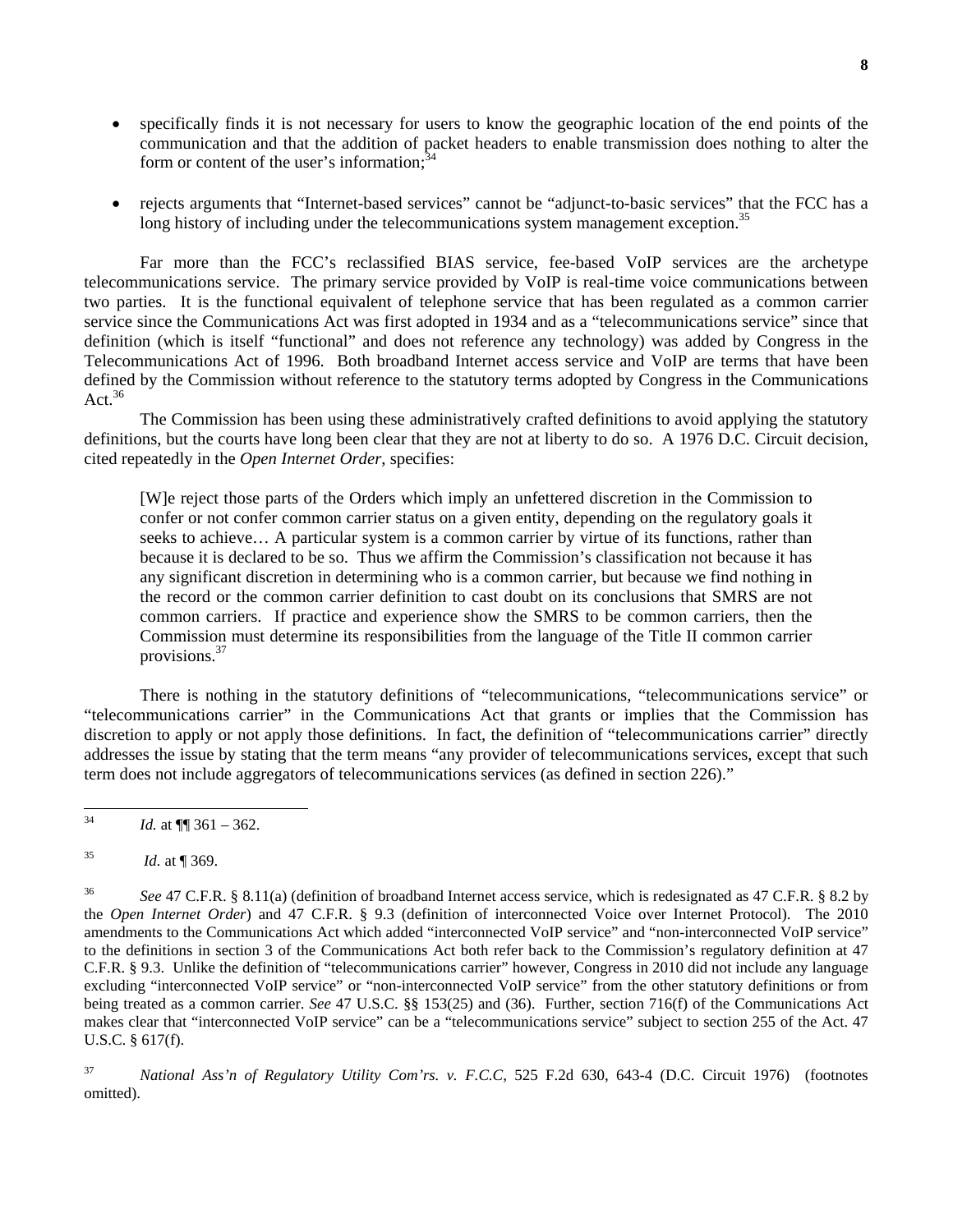- specifically finds it is not necessary for users to know the geographic location of the end points of the communication and that the addition of packet headers to enable transmission does nothing to alter the form or content of the user's information; $34$
- rejects arguments that "Internet-based services" cannot be "adjunct-to-basic services" that the FCC has a long history of including under the telecommunications system management exception.<sup>35</sup>

 Far more than the FCC's reclassified BIAS service, fee-based VoIP services are the archetype telecommunications service. The primary service provided by VoIP is real-time voice communications between two parties. It is the functional equivalent of telephone service that has been regulated as a common carrier service since the Communications Act was first adopted in 1934 and as a "telecommunications service" since that definition (which is itself "functional" and does not reference any technology) was added by Congress in the Telecommunications Act of 1996. Both broadband Internet access service and VoIP are terms that have been defined by the Commission without reference to the statutory terms adopted by Congress in the Communications Act.  $36$ 

The Commission has been using these administratively crafted definitions to avoid applying the statutory definitions, but the courts have long been clear that they are not at liberty to do so. A 1976 D.C. Circuit decision, cited repeatedly in the *Open Internet Order*, specifies:

[W]e reject those parts of the Orders which imply an unfettered discretion in the Commission to confer or not confer common carrier status on a given entity, depending on the regulatory goals it seeks to achieve… A particular system is a common carrier by virtue of its functions, rather than because it is declared to be so. Thus we affirm the Commission's classification not because it has any significant discretion in determining who is a common carrier, but because we find nothing in the record or the common carrier definition to cast doubt on its conclusions that SMRS are not common carriers. If practice and experience show the SMRS to be common carriers, then the Commission must determine its responsibilities from the language of the Title II common carrier provisions.<sup>37</sup>

There is nothing in the statutory definitions of "telecommunications, "telecommunications service" or "telecommunications carrier" in the Communications Act that grants or implies that the Commission has discretion to apply or not apply those definitions. In fact, the definition of "telecommunications carrier" directly addresses the issue by stating that the term means "any provider of telecommunications services, except that such term does not include aggregators of telecommunications services (as defined in section 226)."

37 *National Ass'n of Regulatory Utility Com'rs. v. F.C.C*, 525 F.2d 630, 643-4 (D.C. Circuit 1976) (footnotes omitted).

<sup>34</sup> 34 *Id.* at ¶¶ 361 – 362.

<sup>35</sup> *Id.* at ¶ 369.

<sup>36</sup> *See* 47 C.F.R. § 8.11(a) (definition of broadband Internet access service, which is redesignated as 47 C.F.R. § 8.2 by the *Open Internet Order*) and 47 C.F.R. § 9.3 (definition of interconnected Voice over Internet Protocol). The 2010 amendments to the Communications Act which added "interconnected VoIP service" and "non-interconnected VoIP service" to the definitions in section 3 of the Communications Act both refer back to the Commission's regulatory definition at 47 C.F.R. § 9.3. Unlike the definition of "telecommunications carrier" however, Congress in 2010 did not include any language excluding "interconnected VoIP service" or "non-interconnected VoIP service" from the other statutory definitions or from being treated as a common carrier. *See* 47 U.S.C. §§ 153(25) and (36). Further, section 716(f) of the Communications Act makes clear that "interconnected VoIP service" can be a "telecommunications service" subject to section 255 of the Act. 47 U.S.C. § 617(f).